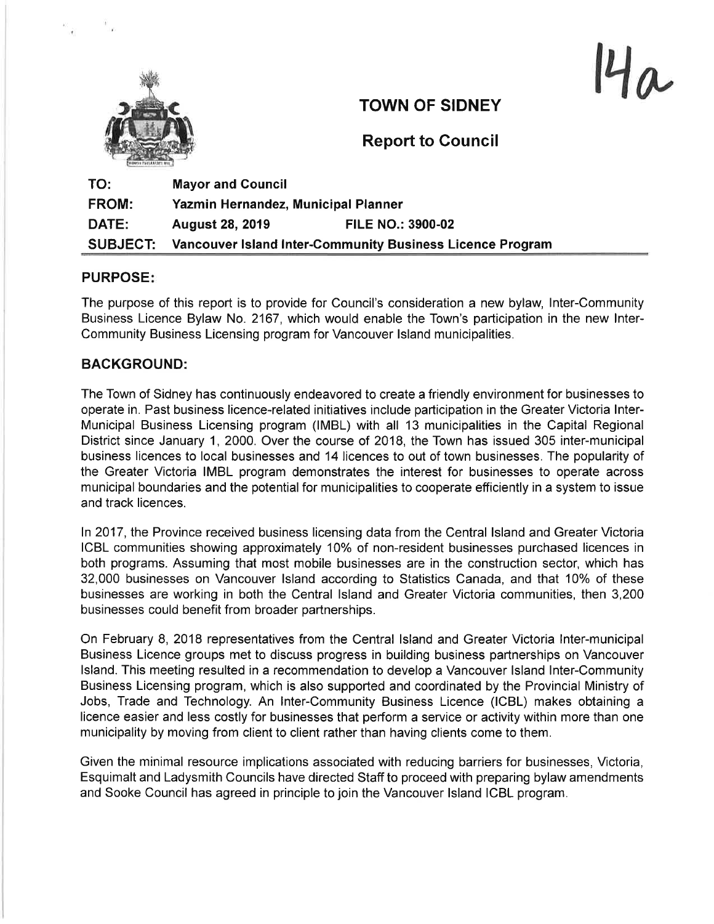

TOWN OF SIDNEY

 $4a$ 

Report to Council

| TO:             | <b>Mayor and Council</b>                                  |                          |
|-----------------|-----------------------------------------------------------|--------------------------|
| <b>FROM:</b>    | Yazmin Hernandez, Municipal Planner                       |                          |
| <b>DATE:</b>    | <b>August 28, 2019</b>                                    | <b>FILE NO.: 3900-02</b> |
| <b>SUBJECT:</b> | Vancouver Island Inter-Community Business Licence Program |                          |

## PURPOSE

The purpose of this report is to provide for Council's consideration a new bylaw, lnter-Community Business Licence Bylaw No. 2167, which would enable the Town's participation in the new lnter-Community Business Licensing program for Vancouver lsland municipalities.

## BACKGROUND:

The Town of Sidney has continuously endeavored to create a friendly environment for businesses to operate in. Past business licence-related initiatives include participation in the Greater Victoria lnter-Municipal Business Licensing program (IMBL) with all 13 municipalities in the Capital Regional District since January 1, 2000. Over the course of 2018, the Town has issued 305 inter-municipal business licences to local businesses and 14licences to out of town businesses. The popularity of the Greater Victoria IMBL program demonstrates the interest for businesses to operate across municipal boundaries and the potential for municipalities to cooperate efficiently in a system to issue and track licences.

ln 2017, the Province received business licensing data from the Central lsland and Greater Victoria ICBL communities showing approximately 10% of non-resident businesses purchased licences in both programs. Assuming that most mobile businesses are in the construction sector, which has 32,000 businesses on Vancouver Island according to Statistics Canada, and that 10% of these businesses are working in both the Central lsland and Greater Victoria communities, then 3,200 businesses could benefit from broader partnerships.

On February 8,2018 representatives from the Central lsland and Greater Victoria lnter-municipal Business Licence groups met to discuss progress in building business partnerships on Vancouver lsland. This meeting resulted in a recommendation to develop a Vancouver lsland lnter-Community Business Licensing program, which is also supported and coordinated by the Provincial Ministry of Jobs, Trade and Technology. An lnter-Community Business Licence (ICBL) makes obtaining a licence easier and less costly for businesses that perform a service or activity within more than one municipality by moving from client to client rather than having clients come to them.

Given the minimal resource implications associated with reducing barriers for businesses, Victoria, Esquimalt and Ladysmith Councils have directed Staff to proceed with preparing bylaw amendments and Sooke Council has agreed in principle to join the Vancouver lsland ICBL program.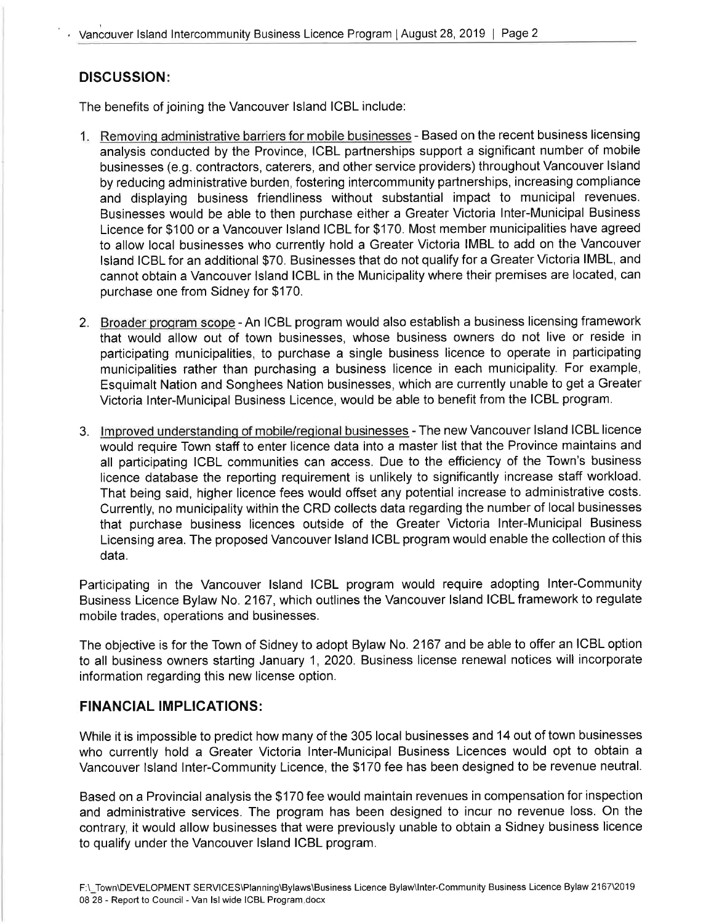# DISCUSSION:

The benefits of joining the Vancouver lsland ICBL include:

- 1. Removing administrative barriers for mobile businesses Based on the recent business licensing analysis conducted by the Province, ICBL partnerships support a significant number of mobile businesses (e.g. contractors, caterers, and other service providers) throughout Vancouver lsland by reducing administrative burden, fostering intercommunity partnerships, increasing compliance and displaying business friendliness without substantial impact to municipal revenues. Businesses would be able to then purchase either a Greater Victoria lnter-Municipal Business Licence for \$100 or a Vancouver lsland ICBL for \$170. Most member municipalities have agreed to allow local businesses who currently hold a Greater Victoria IMBL to add on the Vancouver lsland ICBL for an additional \$70. Businesses that do not qualify for a Greater Victoria IMBL, and cannot obtain a Vancouver lsland ICBL in the Municipality where their premises are located, can purchase one from Sidney for \$170.
- 2. Broader program scope An ICBL program would also establish a business licensing framework that would allow out of town businesses, whose business owners do not live or reside in participating municipalities, to purchase a single business licence to operate in participating municipalities rather than purchasing a business licence in each municipality. For example, Esquimalt Nation and Songhees Nation businesses, which are currently unable to get a Greater Victoria lnter-Municipal Business Licence, would be able to benefit from the ICBL program.
- 3. lmproved understanding of mobile/reqional businesses The new Vancouver lsland ICBL licence would require Town staff to enter licence data into a master list that the Province maintains and all participating ICBL communities can access. Due to the efficiency of the Town's business licence database the reporting requirement is unlikely to significantly increase staff workload. That being said, higher licence fees would offset any potential increase to administrative costs. Currently, no municipality within the CRD collects data regarding the number of local businesses that purchase business licences outside of the Greater Victoria lnter-Municipal Business Licensing area. The proposed Vancouver lsland ICBL program would enable the collection of this data.

Participating in the Vancouver lsland ICBL program would require adopting lnter-Community Business Licence Bylaw No. 2167, which outlines the Vancouver lsland ICBL framework to regulate mobile trades, operations and businesses.

The objective is for the Town of Sidney to adopt Bylaw No. 2167 and be able to offer an ICBL option to all business owners starting January 1, 2020. Business license renewal notices will incorporate information regarding this new license option.

# FINANCIAL IMPLICATIONS:

While it is impossible to predict how many of the 305 local businesses and 14 out of town businesses who currently hold a Greater Victoria lnter-Municipal Business Licences would opt to obtain <sup>a</sup> Vancouver lsland lnter-Community Licence, the \$170 fee has been designed to be revenue neutral.

Based on a Provincial analysis the \$170 fee would maintain revenues in compensation for inspection and administrative services. The program has been designed to incur no revenue loss. On the contrary, it would allow businesses that were previously unable to obtain a Sidney business licence to qualify under the Vancouver lsland ICBL program.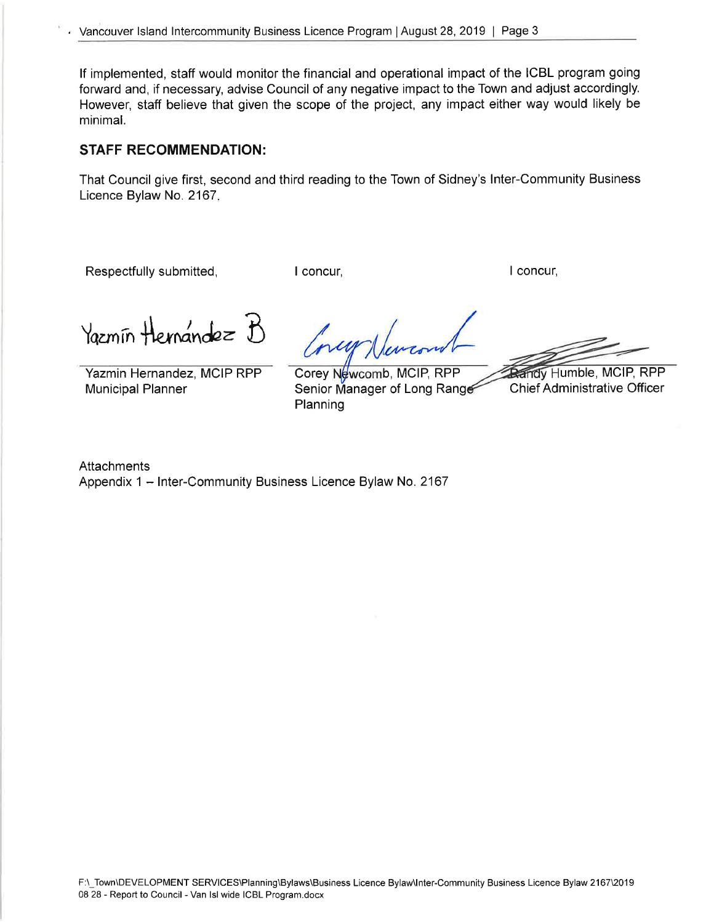lf implemented, staff would monitor the financial and operational impact of the ICBL program going forward and, if necessary, advise Council of any negative impact to the Town and adjust accordingly. However, staff believe that given the scope of the project, any impact either way would likely be minimal.

## STAFF RECOMMENDATION:

That Council give first, second and third reading to the Town of Sidney's lnter-Community Business Licence Bylaw No. 2167.

Respectfully submitted, The Concur, The I concur, I concur, I concur, I concur,

Yazmin Hernandez B

Yazmin Hernandez, MCIP RPP Municipal Planner

Planning Corey Newcomb, MCIP, RPP Senior Manager of Long Range

**Randy Humble, MCIP, RPP** 

**Chief Administrative Officer** 

**Attachments** Appendix 1 - Inter-Community Business Licence Bylaw No. 2167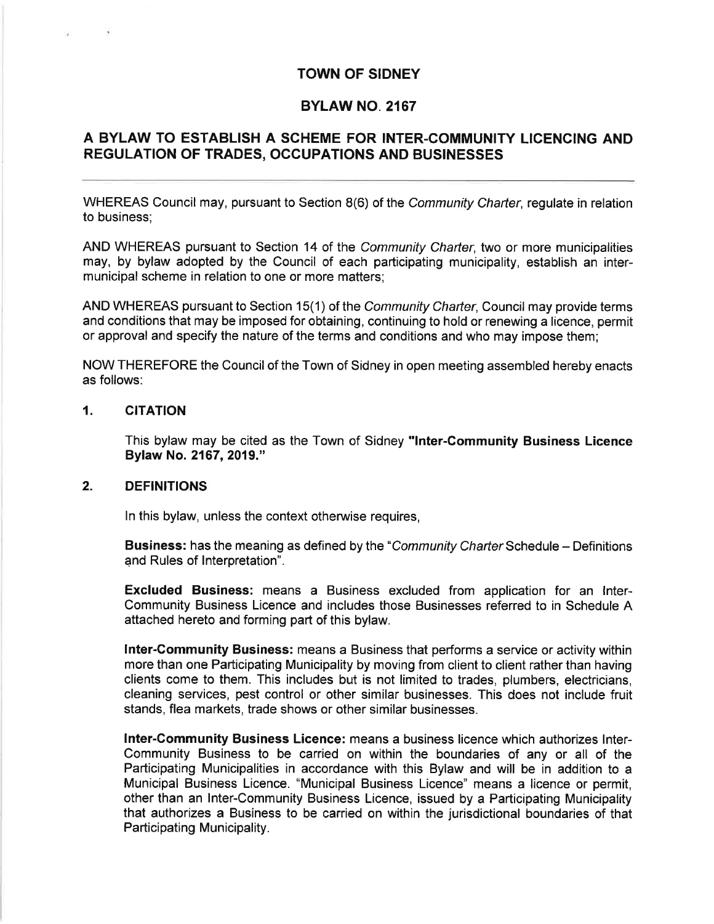### TOWN OF SIDNEY

## BYLAW NO. 2167

# A BYLAW TO ESTABLISH A SCHEME FOR INTER.COMMUNITY LICENCING AND REGULATION OF TRADES, OCCUPATIONS AND BUSINESSES

WHEREAS Council may, pursuant to Section 8(6) of the Community Charter, regulate in relation to business;

AND WHEREAS pursuant to Section 14 of the Community Charter, two or more municipalities may, by bylaw adopted by the Council of each participating municipality, establish an intermunicipal scheme in relation to one or more matters;

AND WHEREAS pursuant to Section 15(1) of the *Community Charter*, Council may provide terms and conditions that may be imposed for obtaining, continuing to hold or renewing a licence, permit or approval and specify the nature of the terms and conditions and who may impose them;

NOW THEREFORE the Council of the Town of Sidney in open meeting assembled hereby enacts as follows:

### 1. CITATION

This bylaw may be cited as the Town of Sidney "lnter-Community Business Licence Bylaw No. 2167, 2019."

#### 2. DEFINITIONS

ln this bylaw, unless the context otherwise requires,

Business: has the meaning as defined by the "Community Charter Schedule - Definitions" and Rules of Interpretation".

Excluded Business: means a Business excluded from application for an lnter-Community Business Licence and includes those Businesses referred to in Schedule A attached hereto and forming part of this bylaw.

lnter-Community Business: means a Business that performs a service or activity within more than one Participating Municipality by moving from client to client rather than having clients come to them. This includes but is not limited to trades, plumbers, electricians, cleaning services, pest control or other similar businesses. This does not include fruit stands, flea markets, trade shows or other similar businesses.

lnter-Gommunity Business Licence: means a business licence which authorizes lnter-Community Business to be carried on within the boundaries of any or all of the Participating Municipalities in accordance with this Bylaw and will be in addition to a Municipal Business Licence. "Municipal Business Licence" means a licence or permit, other than an lnter-Community Business Licence, issued by a Participating Municipality that authorizes a Business to be carried on within the jurisdictional boundaries of that Participating Municipality.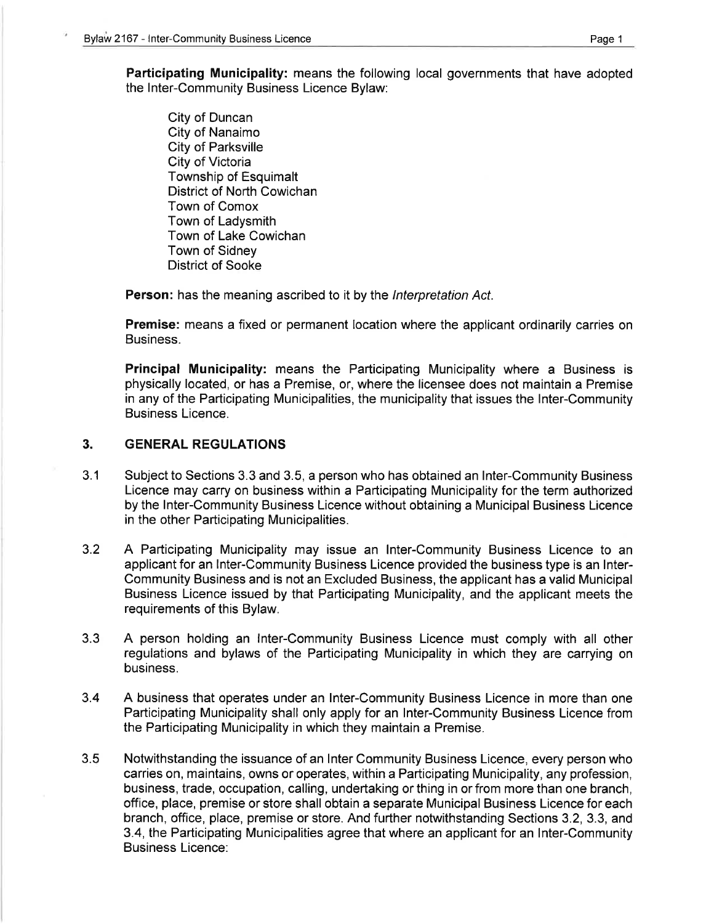Participating Municipality: means the following local governments that have adopted the lnter-Community Business Licence Bylaw:

City of Duncan City of Nanaimo City of Parksville City of Victoria Township of Esquimalt District of North Cowichan Town of Comox Town of Ladysmith Town of Lake Cowichan Town of Sidney District of Sooke

Person: has the meaning ascribed to it by the Interpretation Act.

Premise: means a fixed or permanent location where the applicant ordinarily carries on Business.

Principal Municipality: means the Participating Municipality where a Business is physically located, or has a Premise, or, where the licensee does not maintain a Premise in any of the Participating Municipalities, the municipality that issues the lnter-Community Business Licence.

#### 3. GENERAL REGULATIONS

- Subject to Sections 3.3 and 3.5, a person who has obtained an lnter-Community Business Licence may carry on business within a Participating Municipality for the term authorized by the lnter-Community Business Licence without obtaining a Municipal Business Licence in the other Participating Municipalities. 3.1
- A Participating Municipality may issue an lnter-Community Business Licence to an applicant for an lnter-Community Business Licence provided the business type is an lnter-Community Business and is not an Excluded Business, the applicant has a valid Municipal Business Licence issued by that Participating Municipality, and the applicant meets the requirements of this Bylaw. 3.2
- 3.3 A person holding an lnter-Community Business Licence must comply with all other regulations and bylaws of the Participating Municipality in which they are carrying on business.
- 3.4 A business that operates under an lnter-Community Business Licence in more than one Participating Municipality shall only apply for an lnter-Community Business Licence from the Participating Municipality in which they maintain a Premise.
- Notwithstanding the issuance of an lnter Community Business Licence, every person who carries on, maintains, owns or operates, within a Participating Municipality, any profession, business, trade, occupation, calling, undertaking or thing in or from more than one branch, office, place, premise or store shall obtain a separate Municipal Business Licence for each branch, office, place, premise or store. And further notwithstanding Sections 3.2, 3.3, and 3.4, the Participating Municipalities agree that where an applicant for an lnter-Community Business Licence: 3.5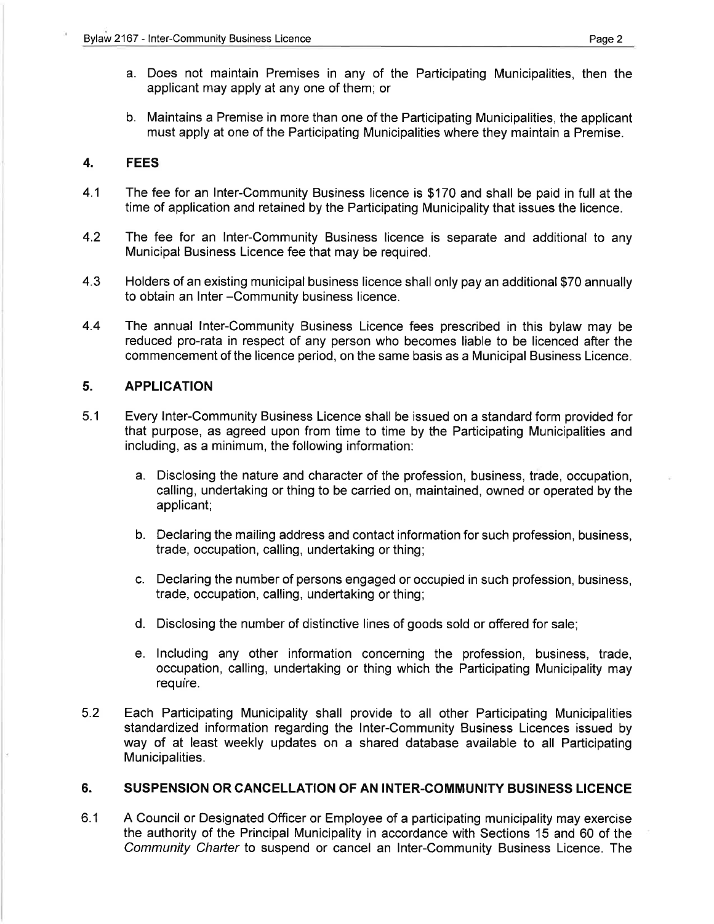- a. Does not maintain Premises in any of the Participating Municipalities, then the applicant may apply at any one of them; or
- b. Maintains a Premise in more than one of the Participating Municipalities, the applicant must apply at one of the Participating Municipalities where they maintain a Premise.

### 4. FEES

- 4.1 The fee for an lnter-Community Business licence is \$170 and shall be paid in full at the time of application and retained by the Participating Municipality that issues the licence.
- 4.2 The fee for an lnter-Community Business licence is separate and additional to any Municipal Business Licence fee that may be required.
- 4.3 Holders of an existing municipal business licence shall only pay an additional \$70 annually to obtain an lnter-Community business licence.
- 4.4 The annual lnter-Community Business Licence fees prescribed in this bylaw may be reduced pro-rata in respect of any person who becomes liable to be licenced after the commencement of the licence period, on the same basis as a Municipal Business Licence.

### 5. APPLICATION

- 5.1 Every lnter-Community Business Licence shall be issued on a standard form provided for that purpose, as agreed upon from time to time by the Participating Municipalities and including, as a minimum, the following information:
	- a. Disclosing the nature and character of the profession, business, trade, occupation, calling, undertaking or thing to be carried on, maintained, owned or operated by the applicant;
	- b. Declaring the mailing address and contact information for such profession, business, trade, occupation, calling, undertaking or thing;
	- c. Declaring the number of persons engaged or occupied in such profession, business, trade, occupation, calling, undertaking or thing;
	- d. Disclosing the number of distinctive lines of goods sold or offered for sale;
	- e. lncluding any other information concerning the profession, business, trade, occupation, calling, undertaking or thing which the Participating Municipality may require.
- 5.2 Each Participating Municipality shall provide to all other Participating Municipalities standardized information regarding the lnter-Community Business Licences issued by way of at least weekly updates on a shared database available to all Participating Municipalities.

### 6. SUSPENSION OR CANCELLATION OF AN INTER.COMMUNITY BUSINESS LICENCE

A Council or Designated Officer or Employee of a participating municipality may exercise the authority of the Principal Municipality in accordance with Sections 15 and 60 of the Community Charter to suspend or cancel an lnter-Community Business Licence. The 6.1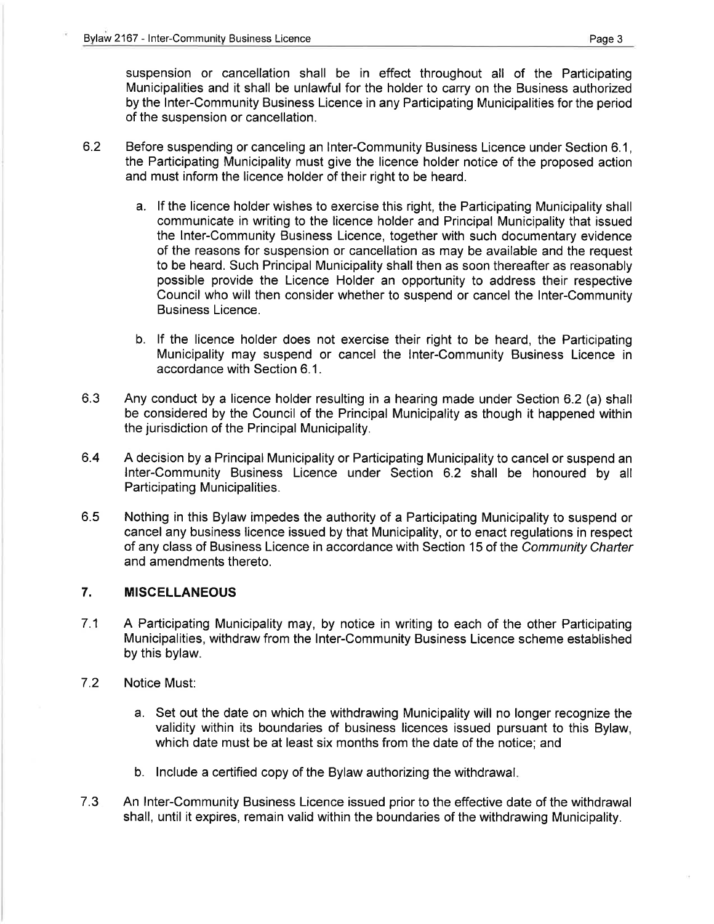suspension or cancellation shall be in effect throughout all of the Participating Municipalities and it shall be unlawful for the holder to carry on the Business authorized by the lnter-Community Business Licence in any Participating Municipalities for the period of the suspension or cancellation.

- 6.2 Before suspending or canceling an lnter-Community Business Licence under Section 6.1 , the Participating Municipality must give the licence holder notice of the proposed action and must inform the licence holder of their right to be heard.
	- a. lf the licence holder wishes to exercise this right, the Participating Municipality shall communicate in writing to the licence holder and Principal Municipality that issued the lnter-Community Business Licence, together with such documentary evidence of the reasons for suspension or cancellation as may be available and the request to be heard. Such Principal Municipality shall then as soon thereafter as reasonably possible provide the Licence Holder an opportunity to address their respective Council who will then consider whether to suspend or cancel the lnter-Community Business Licence.
	- b. lf the licence holder does not exercise their right to be heard, the Participating Municipality may suspend or cancel the lnter-Community Business Licence in accordance with Section 6.1.
- 6.3 Any conduct by a licence holder resulting in a hearing made under Section 6.2 (a) shall be considered by the Council of the Principal Municipality as though it happened within the jurisdiction of the Principal Municipality.
- 6.4 A decision by a Principal Municipality or Participating Municipality to cancel or suspend an lnter-Community Business Licence under Section 6.2 shall be honoured by all Participating Municipalities.
- Nothing in this Bylaw impedes the authority of a Participating Municipality to suspend or cancel any business licence issued by that Municipality, or to enact regulations in respect of any class of Business Licence in accordance with Section 15 of the Community Charter and amendments thereto. 6.5

### 7. MISCELLANEOUS

- 71 A Participating Municipality may, by notice in writing to each of the other Participating Municipalities, withdraw from the lnter-Community Business Licence scheme established by this bylaw.
- 7.2 Notice Must:
	- a. Set out the date on which the withdrawing Municipality will no longer recognize the validity within its boundaries of business licences issued pursuant to this Bylaw, which date must be at least six months from the date of the notice; and
	- b. lnclude a certified copy of the Bylaw authorizing the withdrawal
- An lnter-Community Business Licence issued prior to the effective date of the withdrawal shall, until it expires, remain valid within the boundaries of the withdrawing Municipality. 7.3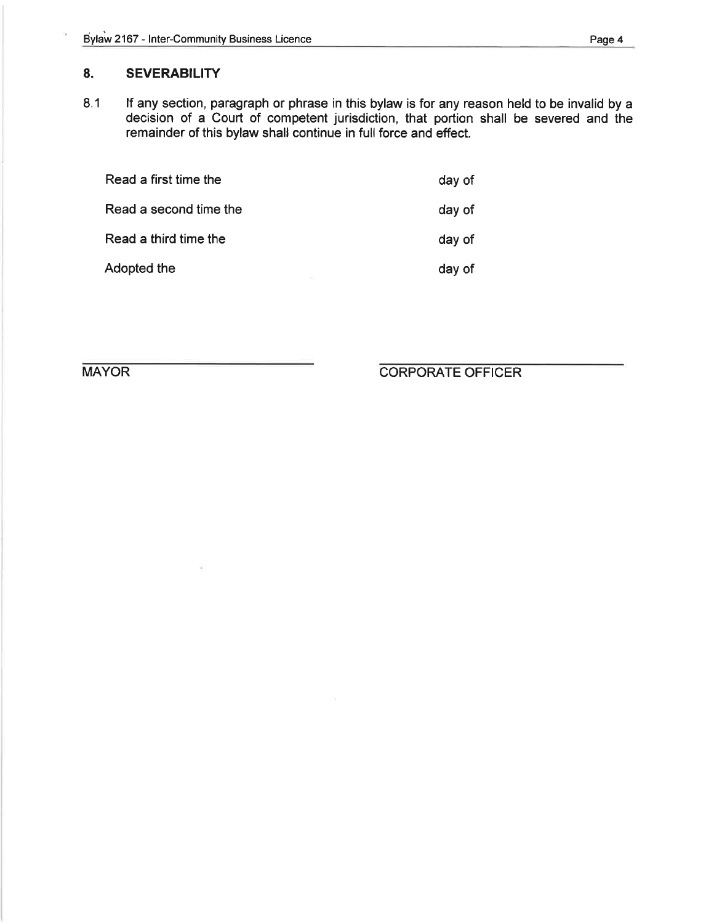## 8. SEVERABILITY

8.1 lf any section, paragraph or phrase in this bylaw is for any reason held to be invalid by a decision of a Court of competent jurisdiction, that portion shall be severed and the remainder of this bylaw shall continue in full force and effect.

| Read a first time the  | day of |  |
|------------------------|--------|--|
| Read a second time the |        |  |
| Read a third time the  | day of |  |
| Adopted the            | day of |  |

MAYOR CORPORATE OFFICER